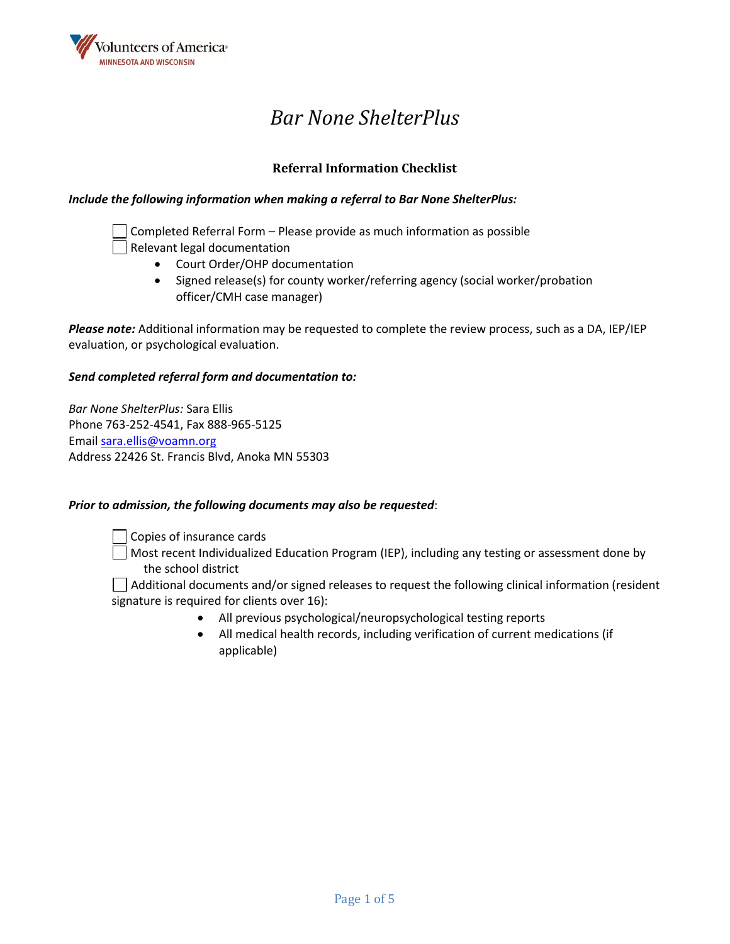

# *Bar None ShelterPlus*

### **Referral Information Checklist**

### *Include the following information when making a referral to Bar None ShelterPlus:*

Completed Referral Form – Please provide as much information as possible Relevant legal documentation

- Court Order/OHP documentation
- Signed release(s) for county worker/referring agency (social worker/probation officer/CMH case manager)

*Please note:* Additional information may be requested to complete the review process, such as a DA, IEP/IEP evaluation, or psychological evaluation.

### *Send completed referral form and documentation to:*

*Bar None ShelterPlus:* Sara Ellis Phone 763-252-4541, Fax 888-965-5125 Emai[l sara.ellis@voamn.org](mailto:sara.ellis@voamn.org) Address 22426 St. Francis Blvd, Anoka MN 55303

### *Prior to admission, the following documents may also be requested*:

Copies of insurance cards

Most recent Individualized Education Program (IEP), including any testing or assessment done by the school district

Additional documents and/or signed releases to request the following clinical information (resident signature is required for clients over 16):

- All previous psychological/neuropsychological testing reports
- All medical health records, including verification of current medications (if applicable)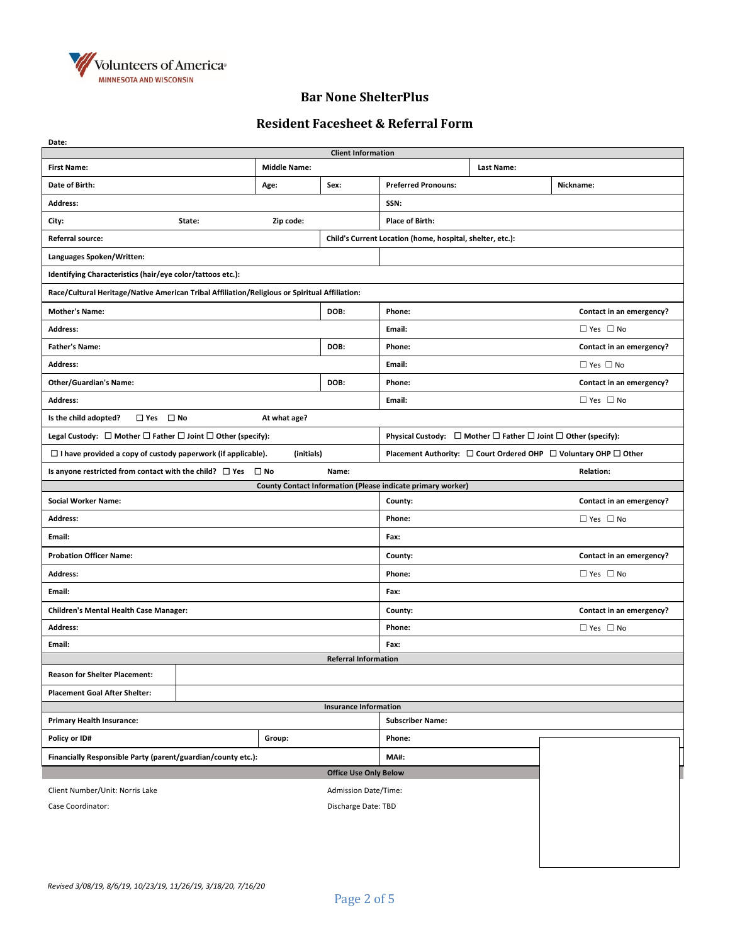

### **Bar None ShelterPlus**

## **Resident Facesheet & Referral Form**

| Date:                                                                                                                                                                 |                     |                              |                                                                  |                          |                          |  |  |
|-----------------------------------------------------------------------------------------------------------------------------------------------------------------------|---------------------|------------------------------|------------------------------------------------------------------|--------------------------|--------------------------|--|--|
|                                                                                                                                                                       |                     | <b>Client Information</b>    |                                                                  |                          |                          |  |  |
| <b>First Name:</b>                                                                                                                                                    | <b>Middle Name:</b> |                              |                                                                  | Last Name:               |                          |  |  |
| Date of Birth:                                                                                                                                                        | Age:                | Sex:                         | <b>Preferred Pronouns:</b>                                       |                          | Nickname:                |  |  |
| Address:                                                                                                                                                              |                     |                              | SSN:                                                             |                          |                          |  |  |
| City:<br>State:                                                                                                                                                       | Zip code:           |                              | <b>Place of Birth:</b>                                           |                          |                          |  |  |
| Referral source:                                                                                                                                                      |                     |                              | Child's Current Location (home, hospital, shelter, etc.):        |                          |                          |  |  |
| Languages Spoken/Written:                                                                                                                                             |                     |                              |                                                                  |                          |                          |  |  |
| Identifying Characteristics (hair/eye color/tattoos etc.):                                                                                                            |                     |                              |                                                                  |                          |                          |  |  |
| Race/Cultural Heritage/Native American Tribal Affiliation/Religious or Spiritual Affiliation:                                                                         |                     |                              |                                                                  |                          |                          |  |  |
| <b>Mother's Name:</b>                                                                                                                                                 |                     | DOB:                         | Phone:                                                           |                          | Contact in an emergency? |  |  |
| <b>Address:</b>                                                                                                                                                       |                     |                              | Email:                                                           |                          | $\Box$ Yes $\Box$ No     |  |  |
| <b>Father's Name:</b>                                                                                                                                                 |                     | DOB:                         | Phone:                                                           |                          | Contact in an emergency? |  |  |
| <b>Address:</b>                                                                                                                                                       |                     |                              | Email:                                                           | $\Box$ Yes $\Box$ No     |                          |  |  |
| <b>Other/Guardian's Name:</b>                                                                                                                                         |                     | DOB:                         | Phone:                                                           |                          | Contact in an emergency? |  |  |
| <b>Address:</b>                                                                                                                                                       |                     |                              | Email:                                                           |                          | $\Box$ Yes $\Box$ No     |  |  |
| $\Box$ Yes $\Box$ No<br>Is the child adopted?<br>At what age?                                                                                                         |                     |                              |                                                                  |                          |                          |  |  |
| Legal Custody: $\Box$ Mother $\Box$ Father $\Box$ Joint $\Box$ Other (specify):<br>Physical Custody: $\Box$ Mother $\Box$ Father $\Box$ Joint $\Box$ Other (specify): |                     |                              |                                                                  |                          |                          |  |  |
| $\Box$ I have provided a copy of custody paperwork (if applicable).                                                                                                   | (initials)          |                              | Placement Authority: □ Court Ordered OHP □ Voluntary OHP □ Other |                          |                          |  |  |
| Is anyone restricted from contact with the child? $\Box$ Yes $\Box$ No                                                                                                |                     | Name:                        |                                                                  |                          | <b>Relation:</b>         |  |  |
|                                                                                                                                                                       |                     |                              | County Contact Information (Please indicate primary worker)      |                          |                          |  |  |
| <b>Social Worker Name:</b>                                                                                                                                            |                     |                              | County:                                                          |                          | Contact in an emergency? |  |  |
| Address:                                                                                                                                                              |                     |                              | Phone:                                                           | $\Box$ Yes $\Box$ No     |                          |  |  |
| Email:                                                                                                                                                                |                     |                              | Fax:                                                             |                          |                          |  |  |
| <b>Probation Officer Name:</b>                                                                                                                                        |                     |                              | County:                                                          | Contact in an emergency? |                          |  |  |
| <b>Address:</b>                                                                                                                                                       |                     |                              | Phone:                                                           | $\Box$ Yes $\Box$ No     |                          |  |  |
| Email:                                                                                                                                                                |                     |                              | Fax:                                                             |                          |                          |  |  |
| <b>Children's Mental Health Case Manager:</b>                                                                                                                         | County:             | Contact in an emergency?     |                                                                  |                          |                          |  |  |
| <b>Address:</b>                                                                                                                                                       |                     |                              | Phone:                                                           | $\Box$ Yes $\Box$ No     |                          |  |  |
| Email:                                                                                                                                                                |                     |                              | Fax:                                                             |                          |                          |  |  |
|                                                                                                                                                                       |                     | <b>Referral Information</b>  |                                                                  |                          |                          |  |  |
| <b>Reason for Shelter Placement:</b>                                                                                                                                  |                     |                              |                                                                  |                          |                          |  |  |
| <b>Placement Goal After Shelter:</b>                                                                                                                                  |                     |                              |                                                                  |                          |                          |  |  |
|                                                                                                                                                                       |                     | <b>Insurance Information</b> | <b>Subscriber Name:</b>                                          |                          |                          |  |  |
| <b>Primary Health Insurance:</b>                                                                                                                                      |                     |                              |                                                                  |                          |                          |  |  |
| Policy or ID#                                                                                                                                                         | Group:              |                              | Phone:                                                           |                          |                          |  |  |
| Financially Responsible Party (parent/guardian/county etc.):                                                                                                          |                     |                              | <b>MA#:</b>                                                      |                          |                          |  |  |
| <b>Office Use Only Below</b>                                                                                                                                          |                     |                              |                                                                  |                          |                          |  |  |
| Client Number/Unit: Norris Lake<br><b>Admission Date/Time:</b>                                                                                                        |                     |                              |                                                                  |                          |                          |  |  |
|                                                                                                                                                                       |                     |                              |                                                                  |                          |                          |  |  |
| Case Coordinator:                                                                                                                                                     |                     | Discharge Date: TBD          |                                                                  |                          |                          |  |  |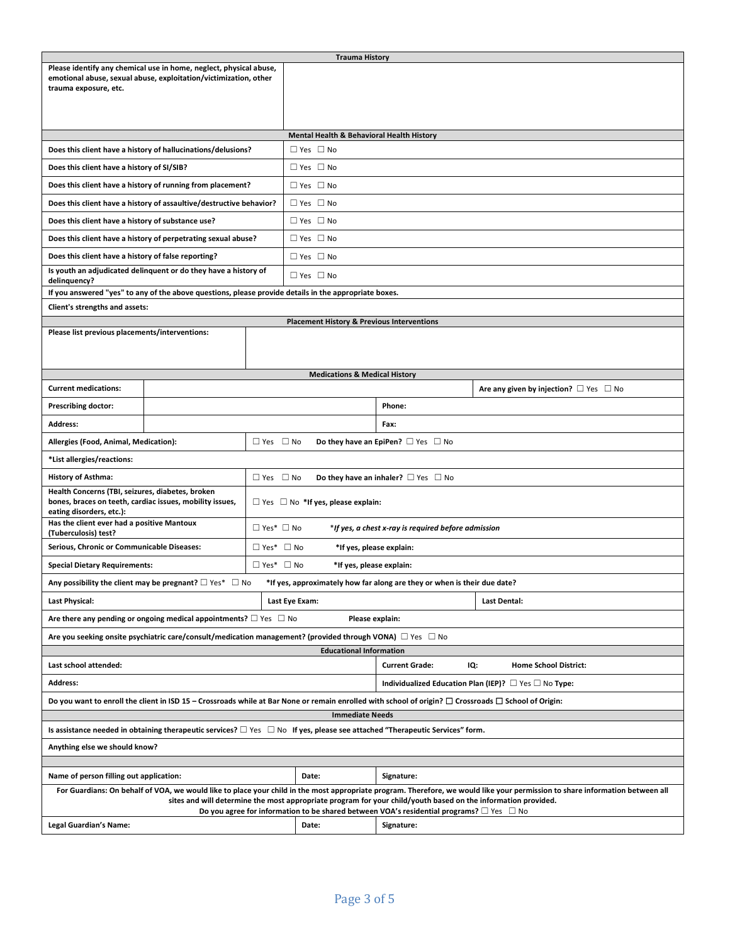|                                                                                                                                                                                                                       |                                                                                                                                        |                       | <b>Trauma History</b>                                        |                                                     |                                                  |  |
|-----------------------------------------------------------------------------------------------------------------------------------------------------------------------------------------------------------------------|----------------------------------------------------------------------------------------------------------------------------------------|-----------------------|--------------------------------------------------------------|-----------------------------------------------------|--------------------------------------------------|--|
|                                                                                                                                                                                                                       | Please identify any chemical use in home, neglect, physical abuse,<br>emotional abuse, sexual abuse, exploitation/victimization, other |                       |                                                              |                                                     |                                                  |  |
| trauma exposure, etc.                                                                                                                                                                                                 |                                                                                                                                        |                       |                                                              |                                                     |                                                  |  |
|                                                                                                                                                                                                                       |                                                                                                                                        |                       |                                                              |                                                     |                                                  |  |
|                                                                                                                                                                                                                       |                                                                                                                                        |                       |                                                              |                                                     |                                                  |  |
|                                                                                                                                                                                                                       |                                                                                                                                        |                       | Mental Health & Behavioral Health History                    |                                                     |                                                  |  |
|                                                                                                                                                                                                                       | Does this client have a history of hallucinations/delusions?                                                                           |                       | $\Box$ Yes $\Box$ No                                         |                                                     |                                                  |  |
| Does this client have a history of SI/SIB?                                                                                                                                                                            |                                                                                                                                        |                       | $\Box$ Yes $\Box$ No                                         |                                                     |                                                  |  |
|                                                                                                                                                                                                                       | Does this client have a history of running from placement?                                                                             |                       | $\Box$ Yes $\Box$ No                                         |                                                     |                                                  |  |
|                                                                                                                                                                                                                       | Does this client have a history of assaultive/destructive behavior?                                                                    |                       | $\Box$ Yes $\Box$ No                                         |                                                     |                                                  |  |
| Does this client have a history of substance use?                                                                                                                                                                     |                                                                                                                                        |                       | $\Box$ Yes $\Box$ No                                         |                                                     |                                                  |  |
|                                                                                                                                                                                                                       | Does this client have a history of perpetrating sexual abuse?                                                                          |                       | $\Box$ Yes $\Box$ No                                         |                                                     |                                                  |  |
| Does this client have a history of false reporting?                                                                                                                                                                   |                                                                                                                                        |                       | $\Box$ Yes $\Box$ No                                         |                                                     |                                                  |  |
| delinquency?                                                                                                                                                                                                          | Is youth an adjudicated delinquent or do they have a history of                                                                        |                       | $\Box$ Yes $\Box$ No                                         |                                                     |                                                  |  |
|                                                                                                                                                                                                                       | If you answered "yes" to any of the above questions, please provide details in the appropriate boxes.                                  |                       |                                                              |                                                     |                                                  |  |
| Client's strengths and assets:                                                                                                                                                                                        |                                                                                                                                        |                       |                                                              |                                                     |                                                  |  |
| Please list previous placements/interventions:                                                                                                                                                                        |                                                                                                                                        |                       | <b>Placement History &amp; Previous Interventions</b>        |                                                     |                                                  |  |
|                                                                                                                                                                                                                       |                                                                                                                                        |                       |                                                              |                                                     |                                                  |  |
|                                                                                                                                                                                                                       |                                                                                                                                        |                       |                                                              |                                                     |                                                  |  |
|                                                                                                                                                                                                                       |                                                                                                                                        |                       | <b>Medications &amp; Medical History</b>                     |                                                     |                                                  |  |
| <b>Current medications:</b>                                                                                                                                                                                           |                                                                                                                                        |                       |                                                              |                                                     | Are any given by injection? $\Box$ Yes $\Box$ No |  |
| <b>Prescribing doctor:</b>                                                                                                                                                                                            |                                                                                                                                        | Phone:                |                                                              |                                                     |                                                  |  |
| <b>Address:</b>                                                                                                                                                                                                       |                                                                                                                                        |                       |                                                              | Fax:                                                |                                                  |  |
| Allergies (Food, Animal, Medication):                                                                                                                                                                                 | $\Box$ Yes $\Box$ No<br>Do they have an EpiPen? $\Box$ Yes $\Box$ No                                                                   |                       |                                                              |                                                     |                                                  |  |
| *List allergies/reactions:                                                                                                                                                                                            |                                                                                                                                        |                       |                                                              |                                                     |                                                  |  |
| <b>History of Asthma:</b>                                                                                                                                                                                             |                                                                                                                                        | $\Box$ Yes $\Box$ No  |                                                              | Do they have an inhaler? $\Box$ Yes $\Box$ No       |                                                  |  |
| Health Concerns (TBI, seizures, diabetes, broken<br>bones, braces on teeth, cardiac issues, mobility issues,                                                                                                          |                                                                                                                                        |                       | $\Box$ Yes $\Box$ No *If yes, please explain:                |                                                     |                                                  |  |
| eating disorders, etc.):                                                                                                                                                                                              |                                                                                                                                        |                       |                                                              |                                                     |                                                  |  |
| Has the client ever had a positive Mantoux<br>(Tuberculosis) test?                                                                                                                                                    |                                                                                                                                        | $\Box$ Yes* $\Box$ No |                                                              | *If yes, a chest x-ray is required before admission |                                                  |  |
| Serious, Chronic or Communicable Diseases:                                                                                                                                                                            | $\Box$ Yes* $\Box$ No<br>*If yes, please explain:                                                                                      |                       |                                                              |                                                     |                                                  |  |
| <b>Special Dietary Requirements:</b>                                                                                                                                                                                  |                                                                                                                                        | $\Box$ Yes* $\Box$ No | *If yes, please explain:                                     |                                                     |                                                  |  |
| Any possibility the client may be pregnant? $\square$ Yes* $\square$ No<br>*If yes, approximately how far along are they or when is their due date?                                                                   |                                                                                                                                        |                       |                                                              |                                                     |                                                  |  |
| <b>Last Physical:</b>                                                                                                                                                                                                 |                                                                                                                                        |                       | Last Eye Exam:                                               |                                                     | Last Dental:                                     |  |
| Are there any pending or ongoing medical appointments? $\square$ Yes $\square$ No<br>Please explain:                                                                                                                  |                                                                                                                                        |                       |                                                              |                                                     |                                                  |  |
| Are you seeking onsite psychiatric care/consult/medication management? (provided through VONA) $\Box$ Yes $\Box$ No                                                                                                   |                                                                                                                                        |                       |                                                              |                                                     |                                                  |  |
| <b>Educational Information</b>                                                                                                                                                                                        |                                                                                                                                        |                       |                                                              |                                                     |                                                  |  |
| Last school attended:                                                                                                                                                                                                 |                                                                                                                                        |                       | <b>Current Grade:</b><br>IQ:<br><b>Home School District:</b> |                                                     |                                                  |  |
| <b>Address:</b><br>Individualized Education Plan (IEP)? $\Box$ Yes $\Box$ No Type:                                                                                                                                    |                                                                                                                                        |                       |                                                              |                                                     |                                                  |  |
| Do you want to enroll the client in ISD 15 – Crossroads while at Bar None or remain enrolled with school of origin? $\Box$ Crossroads $\Box$ School of Origin:                                                        |                                                                                                                                        |                       |                                                              |                                                     |                                                  |  |
| <b>Immediate Needs</b>                                                                                                                                                                                                |                                                                                                                                        |                       |                                                              |                                                     |                                                  |  |
| Is assistance needed in obtaining therapeutic services? $\Box$ Yes $\Box$ No If yes, please see attached "Therapeutic Services" form.<br>Anything else we should know?                                                |                                                                                                                                        |                       |                                                              |                                                     |                                                  |  |
|                                                                                                                                                                                                                       |                                                                                                                                        |                       |                                                              |                                                     |                                                  |  |
| Name of person filling out application:<br>Date:<br>Signature:                                                                                                                                                        |                                                                                                                                        |                       |                                                              |                                                     |                                                  |  |
| For Guardians: On behalf of VOA, we would like to place your child in the most appropriate program. Therefore, we would like your permission to share information between all                                         |                                                                                                                                        |                       |                                                              |                                                     |                                                  |  |
| sites and will determine the most appropriate program for your child/youth based on the information provided.<br>Do you agree for information to be shared between VOA's residential programs? $\Box$ Yes $\ \Box$ No |                                                                                                                                        |                       |                                                              |                                                     |                                                  |  |
| Legal Guardian's Name:                                                                                                                                                                                                |                                                                                                                                        |                       | Date:                                                        | Signature:                                          |                                                  |  |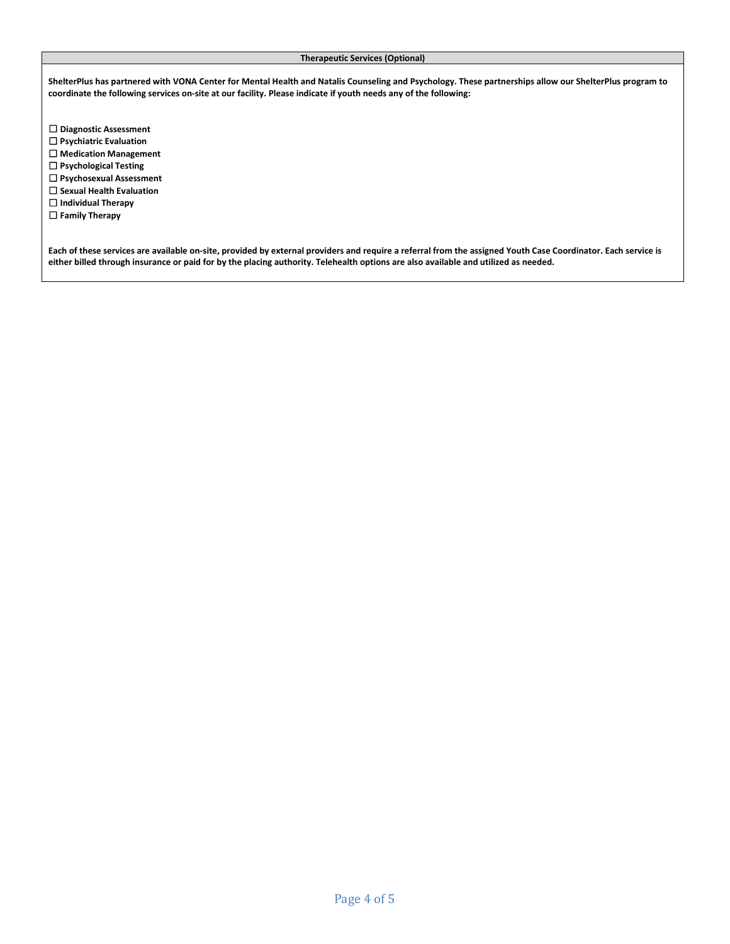#### **Therapeutic Services (Optional)**

**ShelterPlus has partnered with VONA Center for Mental Health and Natalis Counseling and Psychology. These partnerships allow our ShelterPlus program to coordinate the following services on-site at our facility. Please indicate if youth needs any of the following:**

- ☐ **Diagnostic Assessment**
- ☐ **Psychiatric Evaluation**
- ☐ **Medication Management**
- ☐ **Psychological Testing**
- ☐ **Psychosexual Assessment**
- ☐ **Sexual Health Evaluation**
- ☐ **Individual Therapy**
- ☐ **Family Therapy**

**Each of these services are available on-site, provided by external providers and require a referral from the assigned Youth Case Coordinator. Each service is either billed through insurance or paid for by the placing authority. Telehealth options are also available and utilized as needed.**